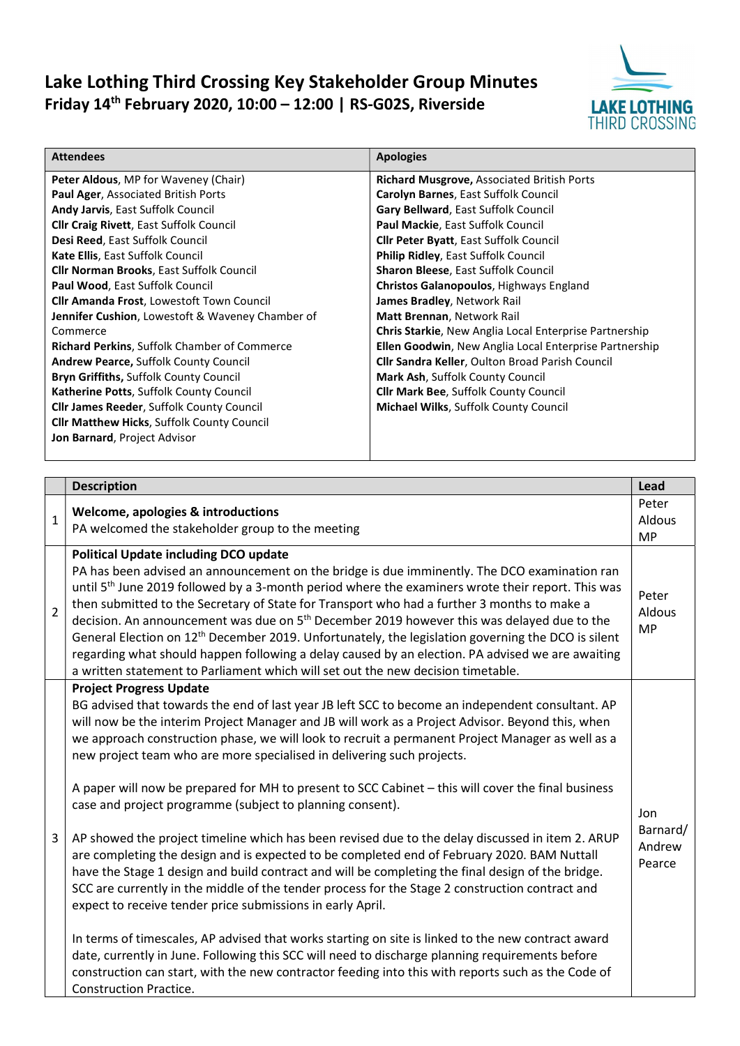## Lake Lothing Third Crossing Key Stakeholder Group Minutes Friday 14th February 2020, 10:00 – 12:00 | RS-G02S, Riverside



| <b>Attendees</b>                                         | <b>Apologies</b>                                       |
|----------------------------------------------------------|--------------------------------------------------------|
| Peter Aldous, MP for Waveney (Chair)                     | Richard Musgrove, Associated British Ports             |
| Paul Ager, Associated British Ports                      | Carolyn Barnes, East Suffolk Council                   |
| <b>Andy Jarvis, East Suffolk Council</b>                 | Gary Bellward, East Suffolk Council                    |
| <b>Cllr Craig Rivett, East Suffolk Council</b>           | <b>Paul Mackie, East Suffolk Council</b>               |
| Desi Reed, East Suffolk Council                          | <b>Clir Peter Byatt, East Suffolk Council</b>          |
| Kate Ellis, East Suffolk Council                         | Philip Ridley, East Suffolk Council                    |
| <b>Cllr Norman Brooks, East Suffolk Council</b>          | <b>Sharon Bleese, East Suffolk Council</b>             |
| Paul Wood, East Suffolk Council                          | Christos Galanopoulos, Highways England                |
| <b>Cllr Amanda Frost, Lowestoft Town Council</b>         | James Bradley, Network Rail                            |
| <b>Jennifer Cushion</b> , Lowestoft & Waveney Chamber of | <b>Matt Brennan, Network Rail</b>                      |
| Commerce                                                 | Chris Starkie, New Anglia Local Enterprise Partnership |
| <b>Richard Perkins, Suffolk Chamber of Commerce</b>      | Ellen Goodwin, New Anglia Local Enterprise Partnership |
| <b>Andrew Pearce, Suffolk County Council</b>             | <b>Cllr Sandra Keller, Oulton Broad Parish Council</b> |
| <b>Bryn Griffiths, Suffolk County Council</b>            | Mark Ash, Suffolk County Council                       |
| Katherine Potts, Suffolk County Council                  | <b>Cllr Mark Bee, Suffolk County Council</b>           |
| <b>Cllr James Reeder, Suffolk County Council</b>         | Michael Wilks, Suffolk County Council                  |
| <b>Cllr Matthew Hicks, Suffolk County Council</b>        |                                                        |
| <b>Jon Barnard, Project Advisor</b>                      |                                                        |

|                | <b>Description</b>                                                                                                                                                                                                                                                                                                                                                                                                                                                                                                                                                                                                                                                                                                                                                                                                                                                                                                                                                                                                                                                                                                                                                                                                                                                                                                                                                                                               | Lead                                |
|----------------|------------------------------------------------------------------------------------------------------------------------------------------------------------------------------------------------------------------------------------------------------------------------------------------------------------------------------------------------------------------------------------------------------------------------------------------------------------------------------------------------------------------------------------------------------------------------------------------------------------------------------------------------------------------------------------------------------------------------------------------------------------------------------------------------------------------------------------------------------------------------------------------------------------------------------------------------------------------------------------------------------------------------------------------------------------------------------------------------------------------------------------------------------------------------------------------------------------------------------------------------------------------------------------------------------------------------------------------------------------------------------------------------------------------|-------------------------------------|
| $\mathbf{1}$   | Welcome, apologies & introductions<br>PA welcomed the stakeholder group to the meeting                                                                                                                                                                                                                                                                                                                                                                                                                                                                                                                                                                                                                                                                                                                                                                                                                                                                                                                                                                                                                                                                                                                                                                                                                                                                                                                           | Peter<br>Aldous<br><b>MP</b>        |
| $\overline{2}$ | <b>Political Update including DCO update</b><br>PA has been advised an announcement on the bridge is due imminently. The DCO examination ran<br>until 5 <sup>th</sup> June 2019 followed by a 3-month period where the examiners wrote their report. This was<br>then submitted to the Secretary of State for Transport who had a further 3 months to make a<br>decision. An announcement was due on 5 <sup>th</sup> December 2019 however this was delayed due to the<br>General Election on 12 <sup>th</sup> December 2019. Unfortunately, the legislation governing the DCO is silent<br>regarding what should happen following a delay caused by an election. PA advised we are awaiting<br>a written statement to Parliament which will set out the new decision timetable.                                                                                                                                                                                                                                                                                                                                                                                                                                                                                                                                                                                                                                 | Peter<br>Aldous<br><b>MP</b>        |
| 3              | <b>Project Progress Update</b><br>BG advised that towards the end of last year JB left SCC to become an independent consultant. AP<br>will now be the interim Project Manager and JB will work as a Project Advisor. Beyond this, when<br>we approach construction phase, we will look to recruit a permanent Project Manager as well as a<br>new project team who are more specialised in delivering such projects.<br>A paper will now be prepared for MH to present to SCC Cabinet - this will cover the final business<br>case and project programme (subject to planning consent).<br>AP showed the project timeline which has been revised due to the delay discussed in item 2. ARUP<br>are completing the design and is expected to be completed end of February 2020. BAM Nuttall<br>have the Stage 1 design and build contract and will be completing the final design of the bridge.<br>SCC are currently in the middle of the tender process for the Stage 2 construction contract and<br>expect to receive tender price submissions in early April.<br>In terms of timescales, AP advised that works starting on site is linked to the new contract award<br>date, currently in June. Following this SCC will need to discharge planning requirements before<br>construction can start, with the new contractor feeding into this with reports such as the Code of<br><b>Construction Practice.</b> | Jon<br>Barnard/<br>Andrew<br>Pearce |